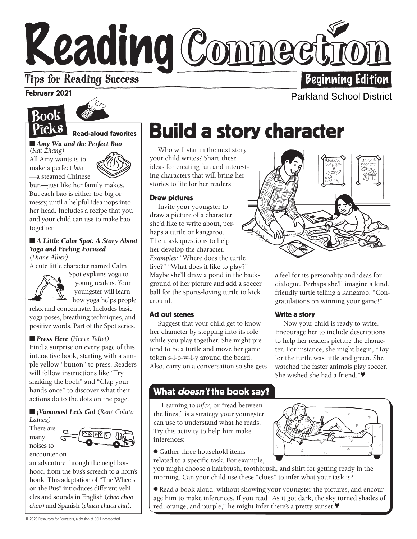# Keading Comnect **Tips for Reading Success**

### February 2021

# Rook ickS



# Read-aloud favorites

■ *Amy Wu and the Perfect Bao (Kat Zhang)* 

All Amy wants is to make a perfect *bao*  —a steamed Chinese



bun—just like her family makes. But each bao is either too big or messy, until a helpful idea pops into her head. Includes a recipe that you and your child can use to make bao together.

# ■ *A Little Calm Spot: A Story About Yoga and Feeling Focused*

*(Diane Alber)* 

A cute little character named Calm



Spot explains yoga to young readers. Your youngster will learn how yoga helps people

relax and concentrate. Includes basic yoga poses, breathing techniques, and positive words. Part of the Spot series.

# ■ **Press Here** (Hervé Tullet)

Find a surprise on every page of this interactive book, starting with a simple yellow "button" to press. Readers will follow instructions like "Try shaking the book" and "Clap your hands once" to discover what their actions do to the dots on the page.

■ *¡Vámonos! Let's Go!* (René Colato *Laínez)*

There are many noises to encounter on



an adventure through the neighborhood, from the bus's screech to a horn's honk. This adaptation of "The Wheels on the Bus" introduces different vehicles and sounds in English (*choo choo*   $choo)$  and Spanish (*chucu chucu chu*).

# Build a story character

Who will star in the next story your child writes? Share these ideas for creating fun and interesting characters that will bring her stories to life for her readers.

#### Draw pictures

Invite your youngster to draw a picture of a character she'd like to write about, perhaps a turtle or kangaroo. Then, ask questions to help her develop the character. *Examples:* "Where does the turtle live?" "What does it like to play?" Maybe she'll draw a pond in the background of her picture and add a soccer ball for the sports-loving turtle to kick around.

#### Act out scenes

Suggest that your child get to know her character by stepping into its role while you play together. She might pretend to be a turtle and move her game token s-l-o-w-l-y around the board. Also, carry on a conversation so she gets

# What doesn't the book say**?**

w Learning to *infer*, or "read between the lines," is a strategy your youngster can use to understand what he reads. Try this activity to help him make inferences:

● Gather three household items

related to a specific task. For example,

you might choose a hairbrush, toothbrush, and shirt for getting ready in the morning. Can your child use these "clues" to infer what your task is?

● Read a book aloud, without showing your youngster the pictures, and encourage him to make inferences. If you read "As it got dark, the sky turned shades of red, orange, and purple," he might infer there's a pretty sunset.♥



a feel for its personality and ideas for dialogue. Perhaps she'll imagine a kind, friendly turtle telling a kangaroo, "Congratulations on winning your game!"

# Write a story

Now your child is ready to write. Encourage her to include descriptions to help her readers picture the character. For instance, she might begin, "Taylor the turtle was little and green. She watched the faster animals play soccer. She wished she had a friend."♥





© 2020 Resources for Educators, a division of CCH Incorporated

**Beginning Edition** 

Parkland School District